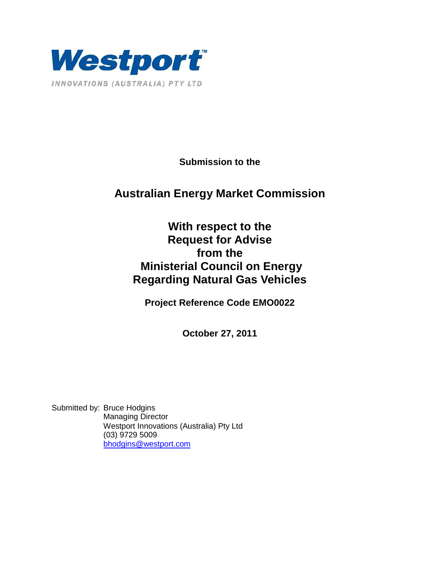

**Submission to the** 

# **Australian Energy Market Commission**

# **With respect to the Request for Advise from the Ministerial Council on Energy Regarding Natural Gas Vehicles**

**Project Reference Code EMO0022** 

**October 27, 2011** 

Submitted by: Bruce Hodgins Managing Director Westport Innovations (Australia) Pty Ltd (03) 9729 5009 bhodgins@westport.com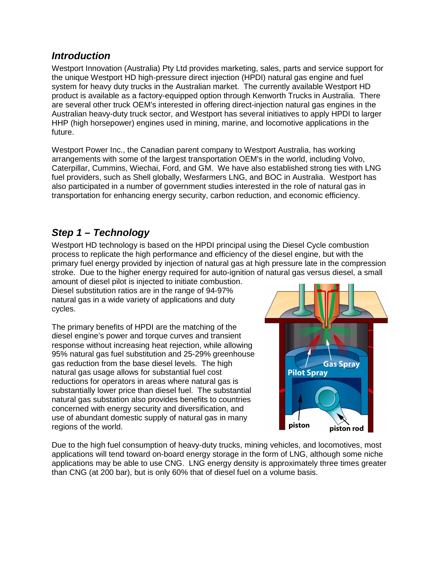### **Introduction**

Westport Innovation (Australia) Pty Ltd provides marketing, sales, parts and service support for the unique Westport HD high-pressure direct injection (HPDI) natural gas engine and fuel system for heavy duty trucks in the Australian market. The currently available Westport HD product is available as a factory-equipped option through Kenworth Trucks in Australia. There are several other truck OEM's interested in offering direct-injection natural gas engines in the Australian heavy-duty truck sector, and Westport has several initiatives to apply HPDI to larger HHP (high horsepower) engines used in mining, marine, and locomotive applications in the future.

Westport Power Inc., the Canadian parent company to Westport Australia, has working arrangements with some of the largest transportation OEM's in the world, including Volvo, Caterpillar, Cummins, Wiechai, Ford, and GM. We have also established strong ties with LNG fuel providers, such as Shell globally, Wesfarmers LNG, and BOC in Australia. Westport has also participated in a number of government studies interested in the role of natural gas in transportation for enhancing energy security, carbon reduction, and economic efficiency.

### **Step 1 – Technology**

Westport HD technology is based on the HPDI principal using the Diesel Cycle combustion process to replicate the high performance and efficiency of the diesel engine, but with the primary fuel energy provided by injection of natural gas at high pressure late in the compression stroke. Due to the higher energy required for auto-ignition of natural gas versus diesel, a small

amount of diesel pilot is injected to initiate combustion. Diesel substitution ratios are in the range of 94-97% natural gas in a wide variety of applications and duty cycles.

The primary benefits of HPDI are the matching of the diesel engine's power and torque curves and transient response without increasing heat rejection, while allowing 95% natural gas fuel substitution and 25-29% greenhouse gas reduction from the base diesel levels. The high natural gas usage allows for substantial fuel cost reductions for operators in areas where natural gas is substantially lower price than diesel fuel. The substantial natural gas substation also provides benefits to countries concerned with energy security and diversification, and use of abundant domestic supply of natural gas in many regions of the world.



Due to the high fuel consumption of heavy-duty trucks, mining vehicles, and locomotives, most applications will tend toward on-board energy storage in the form of LNG, although some niche applications may be able to use CNG. LNG energy density is approximately three times greater than CNG (at 200 bar), but is only 60% that of diesel fuel on a volume basis.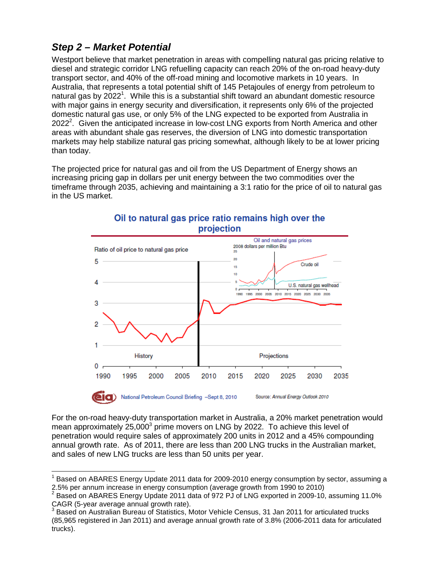# **Step 2 – Market Potential**

 $\overline{\phantom{a}}$ 

Westport believe that market penetration in areas with compelling natural gas pricing relative to diesel and strategic corridor LNG refuelling capacity can reach 20% of the on-road heavy-duty transport sector, and 40% of the off-road mining and locomotive markets in 10 years. In Australia, that represents a total potential shift of 145 Petajoules of energy from petroleum to natural gas by 2022<sup>1</sup>. While this is a substantial shift toward an abundant domestic resource with major gains in energy security and diversification, it represents only 6% of the projected domestic natural gas use, or only 5% of the LNG expected to be exported from Australia in  $2022<sup>2</sup>$ . Given the anticipated increase in low-cost LNG exports from North America and other areas with abundant shale gas reserves, the diversion of LNG into domestic transportation markets may help stabilize natural gas pricing somewhat, although likely to be at lower pricing than today.

The projected price for natural gas and oil from the US Department of Energy shows an increasing pricing gap in dollars per unit energy between the two commodities over the timeframe through 2035, achieving and maintaining a 3:1 ratio for the price of oil to natural gas in the US market.



#### Oil to natural gas price ratio remains high over the projection

For the on-road heavy-duty transportation market in Australia, a 20% market penetration would mean approximately  $25,000^3$  prime movers on LNG by 2022. To achieve this level of penetration would require sales of approximately 200 units in 2012 and a 45% compounding annual growth rate. As of 2011, there are less than 200 LNG trucks in the Australian market, and sales of new LNG trucks are less than 50 units per year.

<sup>1</sup> Based on ABARES Energy Update 2011 data for 2009-2010 energy consumption by sector, assuming a 2.5% per annum increase in energy consumption (average growth from 1990 to 2010)

 $2$  Based on ABARES Energy Update 2011 data of 972 PJ of LNG exported in 2009-10, assuming 11.0% CAGR (5-year average annual growth rate).<br><sup>3</sup> Baasd an Augtralian Bureau of Statistics, M

Based on Australian Bureau of Statistics, Motor Vehicle Census, 31 Jan 2011 for articulated trucks (85,965 registered in Jan 2011) and average annual growth rate of 3.8% (2006-2011 data for articulated trucks).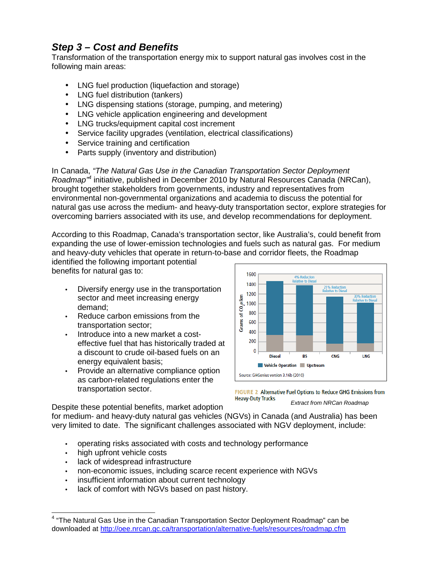# **Step 3 – Cost and Benefits**

Transformation of the transportation energy mix to support natural gas involves cost in the following main areas:

- LNG fuel production (liquefaction and storage)
- LNG fuel distribution (tankers)
- LNG dispensing stations (storage, pumping, and metering)
- LNG vehicle application engineering and development
- LNG trucks/equipment capital cost increment
- Service facility upgrades (ventilation, electrical classifications)
- Service training and certification
- Parts supply (inventory and distribution)

In Canada, "The Natural Gas Use in the Canadian Transportation Sector Deployment Roadmap<sup>74</sup> initiative, published in December 2010 by Natural Resources Canada (NRCan), brought together stakeholders from governments, industry and representatives from environmental non-governmental organizations and academia to discuss the potential for natural gas use across the medium- and heavy-duty transportation sector, explore strategies for overcoming barriers associated with its use, and develop recommendations for deployment.

According to this Roadmap, Canada's transportation sector, like Australia's, could benefit from expanding the use of lower-emission technologies and fuels such as natural gas. For medium and heavy-duty vehicles that operate in return-to-base and corridor fleets, the Roadmap

identified the following important potential benefits for natural gas to:

- Diversify energy use in the transportation sector and meet increasing energy demand;
- Reduce carbon emissions from the transportation sector;
- Introduce into a new market a costeffective fuel that has historically traded at a discount to crude oil-based fuels on an energy equivalent basis;
- Provide an alternative compliance option as carbon-related regulations enter the transportation sector.





Despite these potential benefits, market adoption

for medium- and heavy-duty natural gas vehicles (NGVs) in Canada (and Australia) has been very limited to date. The significant challenges associated with NGV deployment, include:

- operating risks associated with costs and technology performance
- high upfront vehicle costs
- lack of widespread infrastructure
- non-economic issues, including scarce recent experience with NGVs
- insufficient information about current technology
- lack of comfort with NGVs based on past history.

 4 "The Natural Gas Use in the Canadian Transportation Sector Deployment Roadmap" can be downloaded at http://oee.nrcan.gc.ca/transportation/alternative-fuels/resources/roadmap.cfm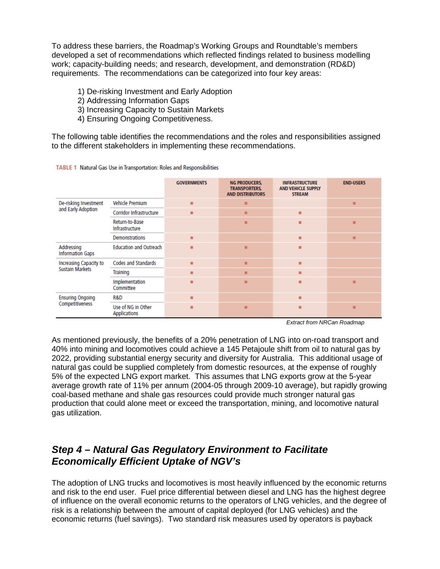To address these barriers, the Roadmap's Working Groups and Roundtable's members developed a set of recommendations which reflected findings related to business modelling work; capacity-building needs; and research, development, and demonstration (RD&D) requirements. The recommendations can be categorized into four key areas:

- 1) De-risking Investment and Early Adoption
- 2) Addressing Information Gaps
- 3) Increasing Capacity to Sustain Markets
- 4) Ensuring Ongoing Competitiveness.

The following table identifies the recommendations and the roles and responsibilities assigned to the different stakeholders in implementing these recommendations.

TABLE 1 Natural Gas Use in Transportation: Roles and Responsibilities

|                                                  |                                    | <b>GOVERNMENTS</b> | <b>NG PRODUCERS.</b><br><b>TRANSPORTERS.</b><br><b>AND DISTRIBUTORS</b> | <b>INFRASTRUCTURE</b><br><b>AND VEHICLE SUPPLY</b><br><b>STREAM</b> | <b>END-USERS</b> |
|--------------------------------------------------|------------------------------------|--------------------|-------------------------------------------------------------------------|---------------------------------------------------------------------|------------------|
| De-risking Investment<br>and Early Adoption      | <b>Vehicle Premium</b>             | ٠                  | п                                                                       |                                                                     | ٠                |
|                                                  | Corridor Infrastructure            | ٠                  | п                                                                       | ■                                                                   |                  |
|                                                  | Return-to-Base<br>Infrastructure   |                    | п                                                                       | п                                                                   | ▪                |
|                                                  | <b>Demonstrations</b>              | ٠                  |                                                                         | ٠                                                                   | ٠                |
| Addressing<br><b>Information Gaps</b>            | <b>Education and Outreach</b>      | ٠                  | п                                                                       | п                                                                   |                  |
| Increasing Capacity to<br><b>Sustain Markets</b> | <b>Codes and Standards</b>         | ٠                  | п                                                                       | п                                                                   |                  |
|                                                  | Training                           | ٠                  | п                                                                       | ▪                                                                   |                  |
|                                                  | Implementation<br>Committee        | ▬                  | п                                                                       | п                                                                   | ▪                |
| <b>Ensuring Ongoing</b><br>Competitiveness       | R&D                                | ٠                  |                                                                         | п                                                                   |                  |
|                                                  | Use of NG in Other<br>Applications | ٠                  | п                                                                       | ٠                                                                   | ٠                |

Extract from NRCan Roadmap

As mentioned previously, the benefits of a 20% penetration of LNG into on-road transport and 40% into mining and locomotives could achieve a 145 Petajoule shift from oil to natural gas by 2022, providing substantial energy security and diversity for Australia. This additional usage of natural gas could be supplied completely from domestic resources, at the expense of roughly 5% of the expected LNG export market. This assumes that LNG exports grow at the 5-year average growth rate of 11% per annum (2004-05 through 2009-10 average), but rapidly growing coal-based methane and shale gas resources could provide much stronger natural gas production that could alone meet or exceed the transportation, mining, and locomotive natural gas utilization.

### **Step 4 – Natural Gas Regulatory Environment to Facilitate Economically Efficient Uptake of NGV's**

The adoption of LNG trucks and locomotives is most heavily influenced by the economic returns and risk to the end user. Fuel price differential between diesel and LNG has the highest degree of influence on the overall economic returns to the operators of LNG vehicles, and the degree of risk is a relationship between the amount of capital deployed (for LNG vehicles) and the economic returns (fuel savings). Two standard risk measures used by operators is payback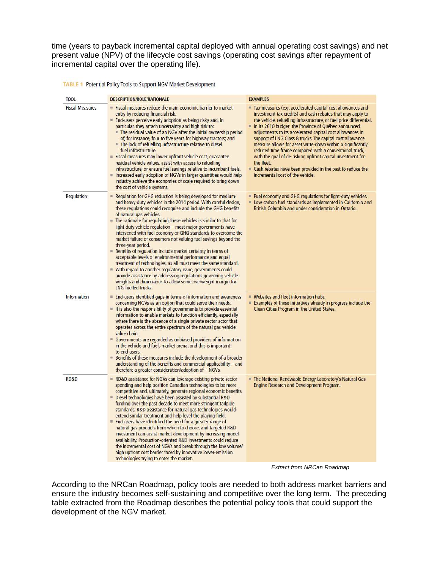time (years to payback incremental capital deployed with annual operating cost savings) and net present value (NPV) of the lifecycle cost savings (operating cost savings after repayment of incremental capital over the operating life).

**TABLE 1** Potential Policy Tools to Support NGV Market Development

| <b>DESCRIPTION/ROLE/RATIONALE</b>                                                                                                                                                                                                                                                                                                                                                                                                                                                                                                                                                                                                                                                                                                                                                                                                                                                                                                                                      | <b>EXAMPLES</b>                                                                                                                                                                                                                                                                                                                                                                                                                                                                                                                                                                                                                                                                        |
|------------------------------------------------------------------------------------------------------------------------------------------------------------------------------------------------------------------------------------------------------------------------------------------------------------------------------------------------------------------------------------------------------------------------------------------------------------------------------------------------------------------------------------------------------------------------------------------------------------------------------------------------------------------------------------------------------------------------------------------------------------------------------------------------------------------------------------------------------------------------------------------------------------------------------------------------------------------------|----------------------------------------------------------------------------------------------------------------------------------------------------------------------------------------------------------------------------------------------------------------------------------------------------------------------------------------------------------------------------------------------------------------------------------------------------------------------------------------------------------------------------------------------------------------------------------------------------------------------------------------------------------------------------------------|
| Fiscal measures reduce the main economic barrier to market<br>entry by reducing financial risk.<br>End-users perceive early adoption as being risky and, in<br>particular, they attach uncertainty and high risk to:<br>The residual value of an NGV after the initial ownership period<br>of, for instance, four to five years for highway tractors; and<br>The lack of refuelling infrastructure relative to diesel<br>fuel infrastructure.<br>$\equiv$ Fiscal measures may lower upfront vehicle cost, guarantee<br>residual vehicle values, assist with access to refuelling<br>infrastructure, or ensure fuel savings relative to incumbent fuels.<br>Increased early adoption of NGVs in larger quantities would help<br>industry achieve the economies of scale required to bring down<br>the cost of vehicle systems.                                                                                                                                          | Tax measures (e.g. accelerated capital cost allowances and<br>investment tax credits) and cash rebates that may apply to<br>the vehicle, refuelling infrastructure, or fuel price differential.<br>In its 2010 budget, the Province of Québec announced<br>adjustments to its accelerated capital cost allowances in<br>support of LNG Class 8 trucks. The capital cost allowance<br>measure allows for asset write-down within a significantly<br>reduced time frame compared with a conventional truck,<br>with the goal of de-risking upfront capital investment for<br>the fleet.<br>Cash rebates have been provided in the past to reduce the<br>incremental cost of the vehicle. |
| Regulation for GHG reduction is being developed for medium-<br>and heavy-duty vehicles in the 2014 period. With careful design,<br>these regulations could recognize and include the GHG benefits<br>of natural gas vehicles.<br>$\blacksquare$ The rationale for regulating these vehicles is similar to that for<br>light-duty vehicle regulation - most major governments have<br>intervened with fuel economy or GHG standards to overcome the<br>market failure of consumers not valuing fuel savings beyond the<br>three-year period.<br>Benefits of regulation include market certainty in terms of<br>acceptable levels of environmental performance and equal<br>treatment of technologies, as all must meet the same standard.<br>■ With regard to another regulatory issue, governments could<br>provide assistance by addressing regulations governing vehicle<br>weights and dimensions to allow some overweight margin for<br><b>LNG-fuelled trucks.</b> | Fuel economy and GHG regulations for light-duty vehicles.<br>Low-carbon fuel standards as implemented in California and<br>British Columbia and under consideration in Ontario.                                                                                                                                                                                                                                                                                                                                                                                                                                                                                                        |
| End-users identified gaps in terms of information and awareness<br>concerning NGVs as an option that could serve their needs.<br>It is also the responsibility of governments to provide essential<br>information to enable markets to function efficiently, especially<br>where there is the absence of a single private sector actor that<br>operates across the entire spectrum of the natural gas vehicle<br>value chain.<br>Governments are regarded as unbiased providers of information<br>in the vehicle and fuels market arena, and this is important<br>to end-users.<br><b>E</b> Benefits of these measures include the development of a broader<br>understanding of the benefits and commercial applicability - and<br>therefore a greater consideration/adoption of - NGVs.                                                                                                                                                                               | ■ Websites and fleet information hubs.<br><b>Examples of these initiatives already in progress include the</b><br>Clean Cities Program in the United States.                                                                                                                                                                                                                                                                                                                                                                                                                                                                                                                           |
| RD&D assistance for NGVs can leverage existing private sector<br>spending and help position Canadian technologies to be more<br>competitive and, ultimately, generate regional economic benefits.<br>Diesel technologies have been assisted by substantial R&D<br>funding over the past decade to meet more stringent tailpipe<br>standards; R&D assistance for natural gas technologies would<br>extend similar treatment and help level the playing field.<br>End-users have identified the need for a greater range of<br>natural gas products from which to choose, and targeted R&D<br>investment can assist market development by increasing model<br>availability. Production-oriented R&D investments could reduce<br>the incremental cost of NGVs and break through the low volume/<br>high upfront cost barrier faced by innovative lower-emission                                                                                                           | The National Renewable Energy Laboratory's Natural Gas<br>Engine Research and Development Program.                                                                                                                                                                                                                                                                                                                                                                                                                                                                                                                                                                                     |
|                                                                                                                                                                                                                                                                                                                                                                                                                                                                                                                                                                                                                                                                                                                                                                                                                                                                                                                                                                        |                                                                                                                                                                                                                                                                                                                                                                                                                                                                                                                                                                                                                                                                                        |



According to the NRCan Roadmap, policy tools are needed to both address market barriers and ensure the industry becomes self-sustaining and competitive over the long term. The preceding table extracted from the Roadmap describes the potential policy tools that could support the development of the NGV market.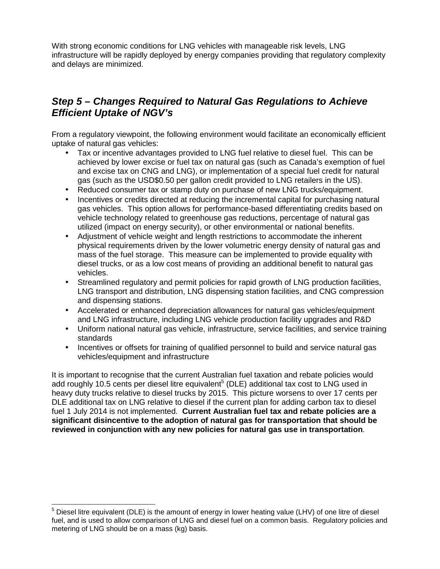With strong economic conditions for LNG vehicles with manageable risk levels, LNG infrastructure will be rapidly deployed by energy companies providing that regulatory complexity and delays are minimized.

# **Step 5 – Changes Required to Natural Gas Regulations to Achieve Efficient Uptake of NGV's**

From a regulatory viewpoint, the following environment would facilitate an economically efficient uptake of natural gas vehicles:

- Tax or incentive advantages provided to LNG fuel relative to diesel fuel. This can be achieved by lower excise or fuel tax on natural gas (such as Canada's exemption of fuel and excise tax on CNG and LNG), or implementation of a special fuel credit for natural gas (such as the USD\$0.50 per gallon credit provided to LNG retailers in the US).
- Reduced consumer tax or stamp duty on purchase of new LNG trucks/equipment.
- Incentives or credits directed at reducing the incremental capital for purchasing natural gas vehicles. This option allows for performance-based differentiating credits based on vehicle technology related to greenhouse gas reductions, percentage of natural gas utilized (impact on energy security), or other environmental or national benefits.
- Adjustment of vehicle weight and length restrictions to accommodate the inherent physical requirements driven by the lower volumetric energy density of natural gas and mass of the fuel storage. This measure can be implemented to provide equality with diesel trucks, or as a low cost means of providing an additional benefit to natural gas vehicles.
- Streamlined regulatory and permit policies for rapid growth of LNG production facilities, LNG transport and distribution, LNG dispensing station facilities, and CNG compression and dispensing stations.
- Accelerated or enhanced depreciation allowances for natural gas vehicles/equipment and LNG infrastructure, including LNG vehicle production facility upgrades and R&D
- Uniform national natural gas vehicle, infrastructure, service facilities, and service training standards
- Incentives or offsets for training of qualified personnel to build and service natural gas vehicles/equipment and infrastructure

It is important to recognise that the current Australian fuel taxation and rebate policies would add roughly 10.5 cents per diesel litre equivalent<sup>5</sup> (DLE) additional tax cost to LNG used in heavy duty trucks relative to diesel trucks by 2015. This picture worsens to over 17 cents per DLE additional tax on LNG relative to diesel if the current plan for adding carbon tax to diesel fuel 1 July 2014 is not implemented. **Current Australian fuel tax and rebate policies are a significant disincentive to the adoption of natural gas for transportation that should be reviewed in conjunction with any new policies for natural gas use in transportation**.

 5 Diesel litre equivalent (DLE) is the amount of energy in lower heating value (LHV) of one litre of diesel fuel, and is used to allow comparison of LNG and diesel fuel on a common basis. Regulatory policies and metering of LNG should be on a mass (kg) basis.